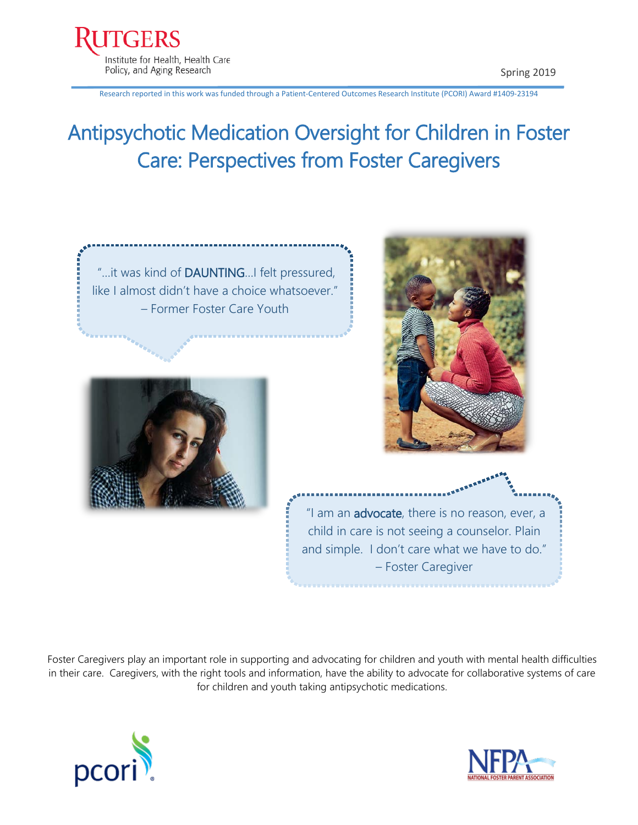Research reported in this work was funded through a Patient-Centered Outcomes Research Institute (PCORI) Award #1409-23194

# Antipsychotic Medication Oversight for Children in Foster Care: Perspectives from Foster Caregivers







"I am an advocate, there is no reason, ever, a child in care is not seeing a counselor. Plain and simple. I don't care what we have to do." – Foster Caregiver

Foster Caregivers play an important role in supporting and advocating for children and youth with mental health difficulties in their care. Caregivers, with the right tools and information, have the ability to advocate for collaborative systems of care for children and youth taking antipsychotic medications.



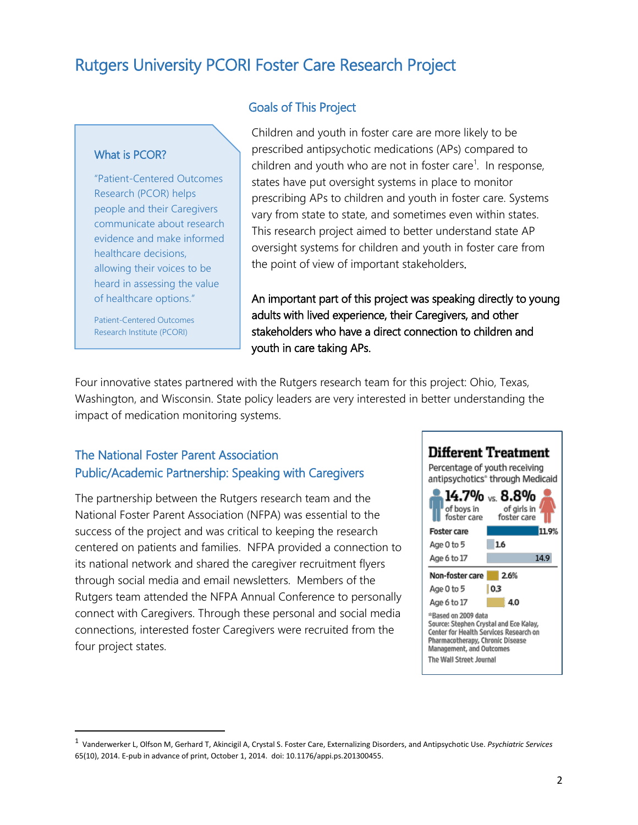### Rutgers University PCORI Foster Care Research Project

#### What is PCOR?

"Patient-Centered Outcomes Research (PCOR) helps people and their Caregivers communicate about research evidence and make informed healthcare decisions, allowing their voices to be heard in assessing the value of healthcare options."

Patient-Centered Outcomes Research Institute (PCORI)

#### Goals of This Project

Children and youth in foster care are more likely to be prescribed antipsychotic medications (APs) compared to children and youth who are not in foster care<sup>[1](#page-1-0)</sup>. In response, states have put oversight systems in place to monitor prescribing APs to children and youth in foster care. Systems vary from state to state, and sometimes even within states. This research project aimed to better understand state AP oversight systems for children and youth in foster care from the point of view of important stakeholders.

An important part of this project was speaking directly to young adults with lived experience, their Caregivers, and other stakeholders who have a direct connection to children and youth in care taking APs.

Four innovative states partnered with the Rutgers research team for this project: Ohio, Texas, Washington, and Wisconsin. State policy leaders are very interested in better understanding the impact of medication monitoring systems.

#### The National Foster Parent Association Public/Academic Partnership: Speaking with Caregivers

The partnership between the Rutgers research team and the National Foster Parent Association (NFPA) was essential to the success of the project and was critical to keeping the research centered on patients and families. NFPA provided a connection to its national network and shared the caregiver recruitment flyers through social media and email newsletters. Members of the Rutgers team attended the NFPA Annual Conference to personally connect with Caregivers. Through these personal and social media connections, interested foster Caregivers were recruited from the four project states.



<span id="page-1-0"></span> <sup>1</sup> Vanderwerker L, Olfson M, Gerhard T, Akincigil A, Crystal S. Foster Care, Externalizing Disorders, and Antipsychotic Use. *Psychiatric Services*  65(10), 2014. E-pub in advance of print, October 1, 2014. doi: 10.1176/appi.ps.201300455.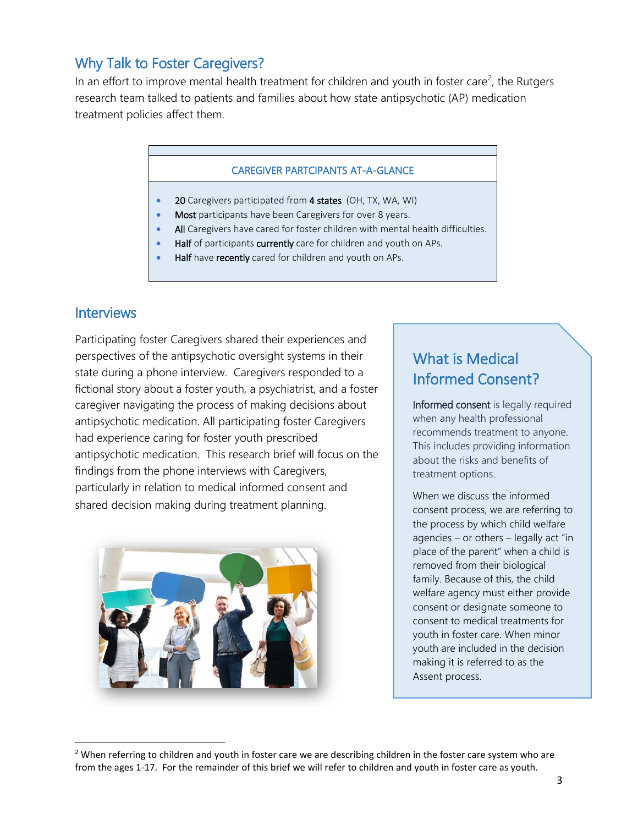### Why Talk to Foster Caregivers?

In an effort to improve mental health treatment for children and youth in foster care<sup>[2](#page-2-0)</sup>, the Rutgers research team talked to patients and families about how state antipsychotic (AP) medication treatment policies affect them.

#### CAREGIVER PARTCIPANTS AT-A-GLANCE

- 20 Caregivers participated from 4 states (OH, TX, WA, WI)
- Most participants have been Caregivers for over 8 years.
- All Caregivers have cared for foster children with mental health difficulties.
- Half of participants currently care for children and youth on APs.
- Half have recently cared for children and youth on APs.

#### **Interviews**

Participating foster Caregivers shared their experiences and perspectives of the antipsychotic oversight systems in their state during a phone interview. Caregivers responded to a fictional story about a foster youth, a psychiatrist, and a foster caregiver navigating the process of making decisions about antipsychotic medication. All participating foster Caregivers had experience caring for foster youth prescribed antipsychotic medication. This research brief will focus on the findings from the phone interviews with Caregivers, particularly in relation to medical informed consent and shared decision making during treatment planning.



### What is Medical Informed Consent?

Informed consent is legally required when any health professional recommends treatment to anyone. This includes providing information about the risks and benefits of treatment options.

When we discuss the informed consent process, we are referring to the process by which child welfare agencies – or others – legally act "in place of the parent" when a child is removed from their biological family. Because of this, the child welfare agency must either provide consent or designate someone to consent to medical treatments for youth in foster care. When minor youth are included in the decision making it is referred to as the Assent process.

<span id="page-2-0"></span><sup>&</sup>lt;sup>2</sup> When referring to children and youth in foster care we are describing children in the foster care system who are from the ages 1-17. For the remainder of this brief we will refer to children and youth in foster care as youth.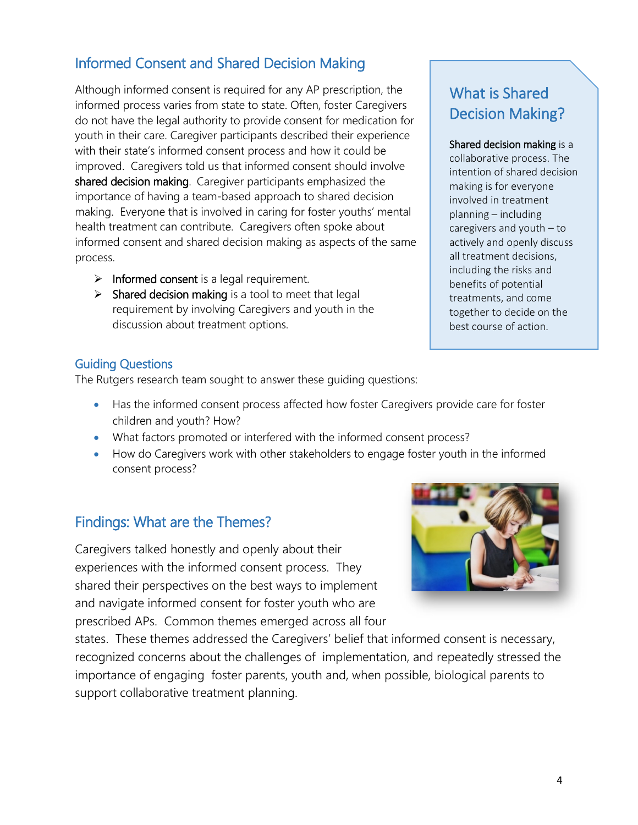### Informed Consent and Shared Decision Making

Although informed consent is required for any AP prescription, the informed process varies from state to state. Often, foster Caregivers do not have the legal authority to provide consent for medication for youth in their care. Caregiver participants described their experience with their state's informed consent process and how it could be improved. Caregivers told us that informed consent should involve shared decision making. Caregiver participants emphasized the importance of having a team-based approach to shared decision making. Everyone that is involved in caring for foster youths' mental health treatment can contribute. Caregivers often spoke about informed consent and shared decision making as aspects of the same process.

- $\triangleright$  Informed consent is a legal requirement.
- $\triangleright$  Shared decision making is a tool to meet that legal requirement by involving Caregivers and youth in the discussion about treatment options.

### What is Shared Decision Making?

#### Shared decision making is a

collaborative process. The intention of shared decision making is for everyone involved in treatment planning – including caregivers and youth – to actively and openly discuss all treatment decisions, including the risks and benefits of potential treatments, and come together to decide on the best course of action.

Guiding Questions<br>The Rutgers research team sought to answer these guiding questions:

- Has the informed consent process affected how foster Caregivers provide care for foster children and youth? How?
- What factors promoted or interfered with the informed consent process?
- How do Caregivers work with other stakeholders to engage foster youth in the informed consent process?

### Findings: What are the Themes?

Caregivers talked honestly and openly about their experiences with the informed consent process. They shared their perspectives on the best ways to implement and navigate informed consent for foster youth who are prescribed APs. Common themes emerged across all four

states. These themes addressed the Caregivers' belief that informed consent is necessary, recognized concerns about the challenges of implementation, and repeatedly stressed the importance of engaging foster parents, youth and, when possible, biological parents to support collaborative treatment planning.

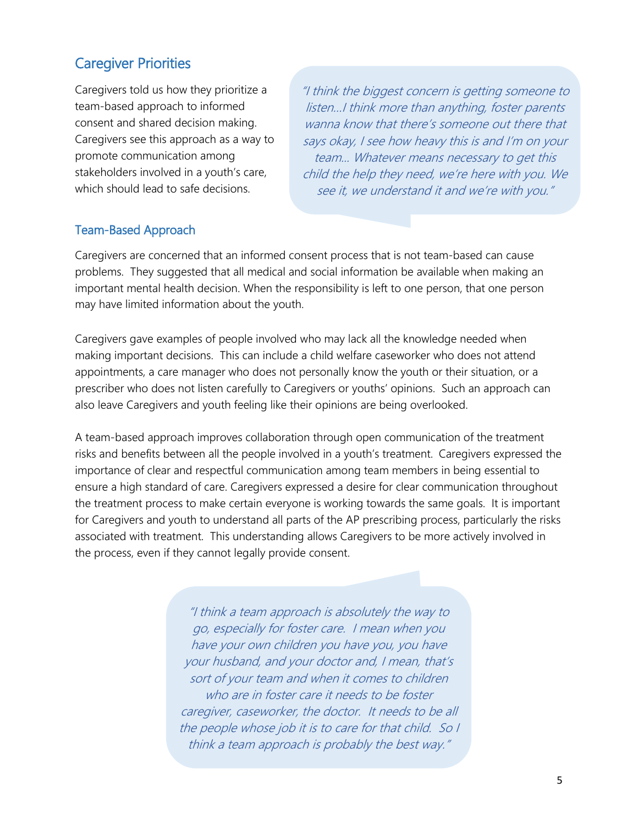### Caregiver Priorities

Caregivers told us how they prioritize a team-based approach to informed consent and shared decision making. Caregivers see this approach as a way to promote communication among stakeholders involved in a youth's care, which should lead to safe decisions.

"I think the biggest concern is getting someone to listen…I think more than anything, foster parents wanna know that there's someone out there that says okay, I see how heavy this is and I'm on your team... Whatever means necessary to get this child the help they need, we're here with you. We see it, we understand it and we're with you."

#### Team-Based Approach

Caregivers are concerned that an informed consent process that is not team-based can cause problems. They suggested that all medical and social information be available when making an important mental health decision. When the responsibility is left to one person, that one person may have limited information about the youth.

Caregivers gave examples of people involved who may lack all the knowledge needed when making important decisions. This can include a child welfare caseworker who does not attend appointments, a care manager who does not personally know the youth or their situation, or a prescriber who does not listen carefully to Caregivers or youths' opinions. Such an approach can also leave Caregivers and youth feeling like their opinions are being overlooked.

A team-based approach improves collaboration through open communication of the treatment risks and benefits between all the people involved in a youth's treatment. Caregivers expressed the importance of clear and respectful communication among team members in being essential to ensure a high standard of care. Caregivers expressed a desire for clear communication throughout the treatment process to make certain everyone is working towards the same goals. It is important for Caregivers and youth to understand all parts of the AP prescribing process, particularly the risks associated with treatment. This understanding allows Caregivers to be more actively involved in the process, even if they cannot legally provide consent.

> "I think a team approach is absolutely the way to go, especially for foster care. I mean when you have your own children you have you, you have your husband, and your doctor and, I mean, that's sort of your team and when it comes to children who are in foster care it needs to be foster caregiver, caseworker, the doctor. It needs to be all the people whose job it is to care for that child. So I think a team approach is probably the best way."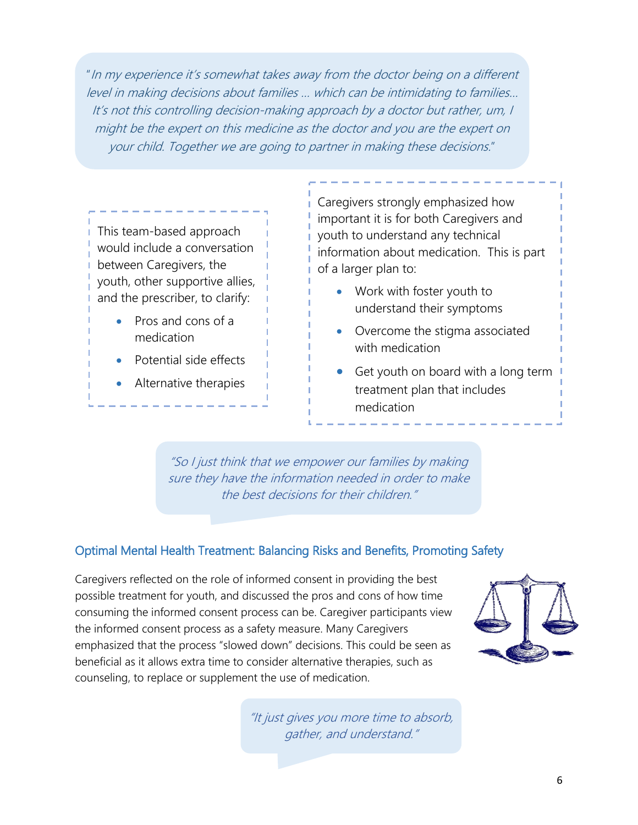"In my experience it's somewhat takes away from the doctor being on a different level in making decisions about families … which can be intimidating to families… It's not this controlling decision-making approach by a doctor but rather, um, I might be the expert on this medicine as the doctor and you are the expert on your child. Together we are going to partner in making these decisions."

#### This team-based approach would include a conversation between Caregivers, the youth, other supportive allies, and the prescriber, to clarify:

- Pros and cons of a medication
- Potential side effects
- Alternative therapies

Caregivers strongly emphasized how important it is for both Caregivers and youth to understand any technical information about medication. This is part of a larger plan to:

- Work with foster youth to understand their symptoms
- Overcome the stigma associated with medication
- Get youth on board with a long term treatment plan that includes medication

"So I just think that we empower our families by making sure they have the information needed in order to make the best decisions for their children."

### Optimal Mental Health Treatment: Balancing Risks and Benefits, Promoting Safety

Caregivers reflected on the role of informed consent in providing the best possible treatment for youth, and discussed the pros and cons of how time consuming the informed consent process can be. Caregiver participants view the informed consent process as a safety measure. Many Caregivers emphasized that the process "slowed down" decisions. This could be seen as beneficial as it allows extra time to consider alternative therapies, such as counseling, to replace or supplement the use of medication.



"It just gives you more time to absorb, gather, and understand."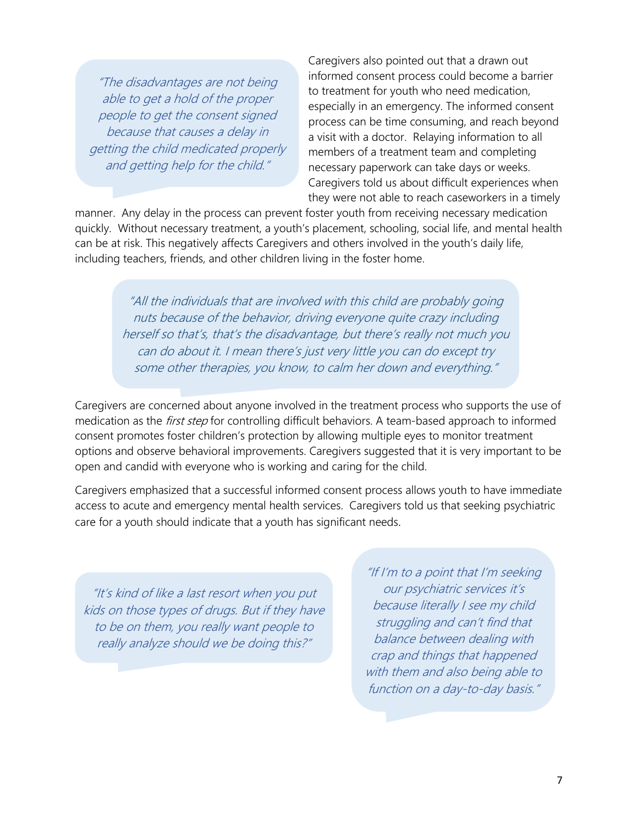"The disadvantages are not being able to get a hold of the proper people to get the consent signed because that causes a delay in getting the child medicated properly and getting help for the child."

Caregivers also pointed out that a drawn out informed consent process could become a barrier to treatment for youth who need medication, especially in an emergency. The informed consent process can be time consuming, and reach beyond a visit with a doctor. Relaying information to all members of a treatment team and completing necessary paperwork can take days or weeks. Caregivers told us about difficult experiences when they were not able to reach caseworkers in a timely

manner. Any delay in the process can prevent foster youth from receiving necessary medication quickly. Without necessary treatment, a youth's placement, schooling, social life, and mental health can be at risk. This negatively affects Caregivers and others involved in the youth's daily life, including teachers, friends, and other children living in the foster home.

"All the individuals that are involved with this child are probably going nuts because of the behavior, driving everyone quite crazy including herself so that's, that's the disadvantage, but there's really not much you can do about it. I mean there's just very little you can do except try some other therapies, you know, to calm her down and everything."

Caregivers are concerned about anyone involved in the treatment process who supports the use of medication as the *first step* for controlling difficult behaviors. A team-based approach to informed consent promotes foster children's protection by allowing multiple eyes to monitor treatment options and observe behavioral improvements. Caregivers suggested that it is very important to be open and candid with everyone who is working and caring for the child.

Caregivers emphasized that a successful informed consent process allows youth to have immediate access to acute and emergency mental health services. Caregivers told us that seeking psychiatric care for a youth should indicate that a youth has significant needs.

"It's kind of like a last resort when you put kids on those types of drugs. But if they have to be on them, you really want people to really analyze should we be doing this?"

"If I'm to a point that I'm seeking our psychiatric services it's because literally I see my child struggling and can't find that balance between dealing with crap and things that happened with them and also being able to function on a day-to-day basis.'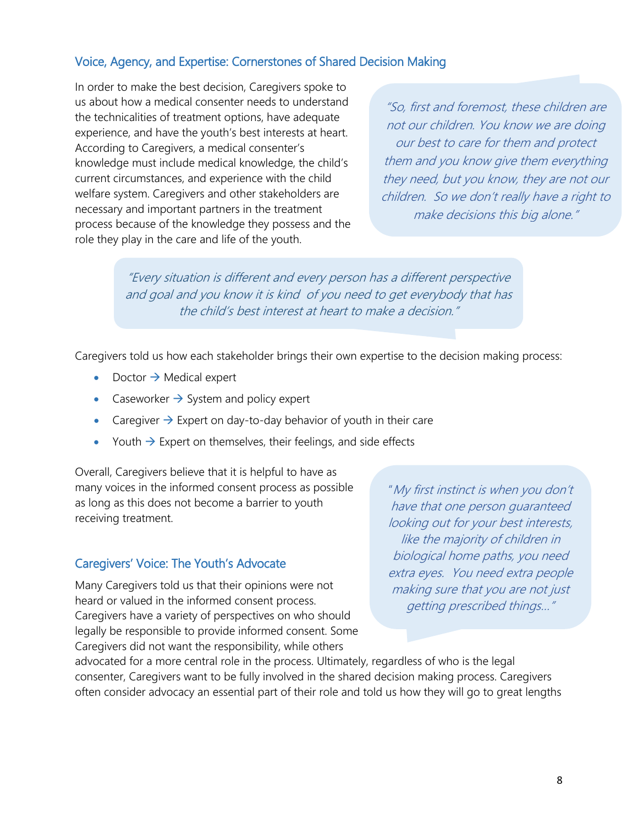#### Voice, Agency, and Expertise: Cornerstones of Shared Decision Making

In order to make the best decision, Caregivers spoke to us about how a medical consenter needs to understand the technicalities of treatment options, have adequate experience, and have the youth's best interests at heart. According to Caregivers, a medical consenter's knowledge must include medical knowledge, the child's current circumstances, and experience with the child welfare system. Caregivers and other stakeholders are necessary and important partners in the treatment process because of the knowledge they possess and the role they play in the care and life of the youth.

"So, first and foremost, these children are not our children. You know we are doing our best to care for them and protect them and you know give them everything they need, but you know, they are not our children. So we don't really have a right to make decisions this big alone."

"Every situation is different and every person has a different perspective and goal and you know it is kind of you need to get everybody that has the child's best interest at heart to make a decision."

Caregivers told us how each stakeholder brings their own expertise to the decision making process:

- Doctor  $\rightarrow$  Medical expert
- Caseworker  $\rightarrow$  System and policy expert
- Caregiver  $\rightarrow$  Expert on day-to-day behavior of youth in their care
- Youth  $\rightarrow$  Expert on themselves, their feelings, and side effects

Overall, Caregivers believe that it is helpful to have as many voices in the informed consent process as possible as long as this does not become a barrier to youth receiving treatment.

#### Caregivers' Voice: The Youth's Advocate

Many Caregivers told us that their opinions were not heard or valued in the informed consent process. Caregivers have a variety of perspectives on who should legally be responsible to provide informed consent. Some Caregivers did not want the responsibility, while others

"My first instinct is when you don't have that one person guaranteed looking out for your best interests, like the majority of children in biological home paths, you need extra eyes. You need extra people making sure that you are not just getting prescribed things…"

advocated for a more central role in the process. Ultimately, regardless of who is the legal consenter, Caregivers want to be fully involved in the shared decision making process. Caregivers often consider advocacy an essential part of their role and told us how they will go to great lengths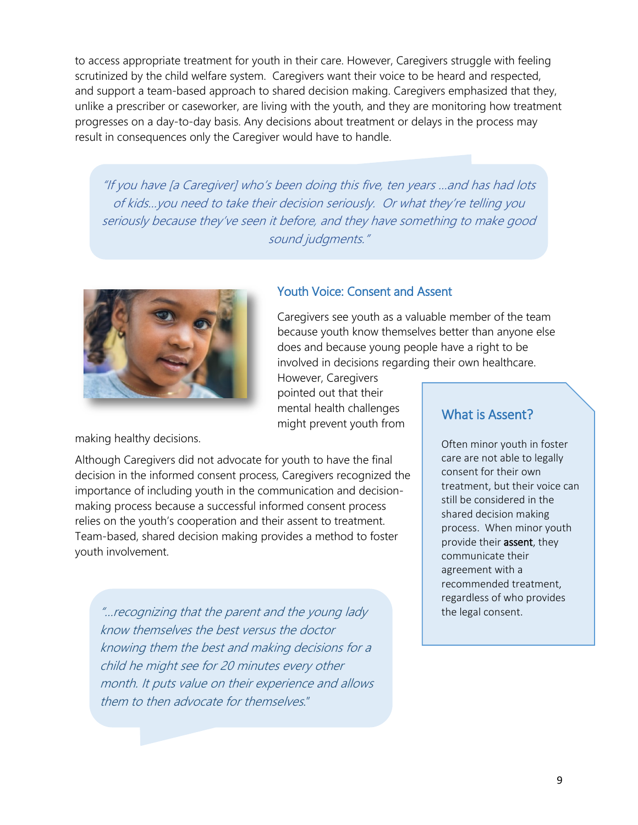to access appropriate treatment for youth in their care. However, Caregivers struggle with feeling scrutinized by the child welfare system. Caregivers want their voice to be heard and respected, and support a team-based approach to shared decision making. Caregivers emphasized that they, unlike a prescriber or caseworker, are living with the youth, and they are monitoring how treatment progresses on a day-to-day basis. Any decisions about treatment or delays in the process may result in consequences only the Caregiver would have to handle.

"If you have [a Caregiver] who's been doing this five, ten years …and has had lots of kids…you need to take their decision seriously. Or what they're telling you seriously because they've seen it before, and they have something to make good sound judgments."



#### Youth Voice: Consent and Assent

Caregivers see youth as a valuable member of the team because youth know themselves better than anyone else does and because young people have a right to be involved in decisions regarding their own healthcare.

However, Caregivers pointed out that their mental health challenges might prevent youth from

making healthy decisions.

Although Caregivers did not advocate for youth to have the final decision in the informed consent process, Caregivers recognized the importance of including youth in the communication and decisionmaking process because a successful informed consent process relies on the youth's cooperation and their assent to treatment. Team-based, shared decision making provides a method to foster youth involvement.

"…recognizing that the parent and the young lady know themselves the best versus the doctor knowing them the best and making decisions for a child he might see for 20 minutes every other month. It puts value on their experience and allows them to then advocate for themselves."

#### What is Assent?

Often minor youth in foster care are not able to legally consent for their own treatment, but their voice can still be considered in the shared decision making process. When minor youth provide their **assent**, they communicate their agreement with a recommended treatment, regardless of who provides the legal consent.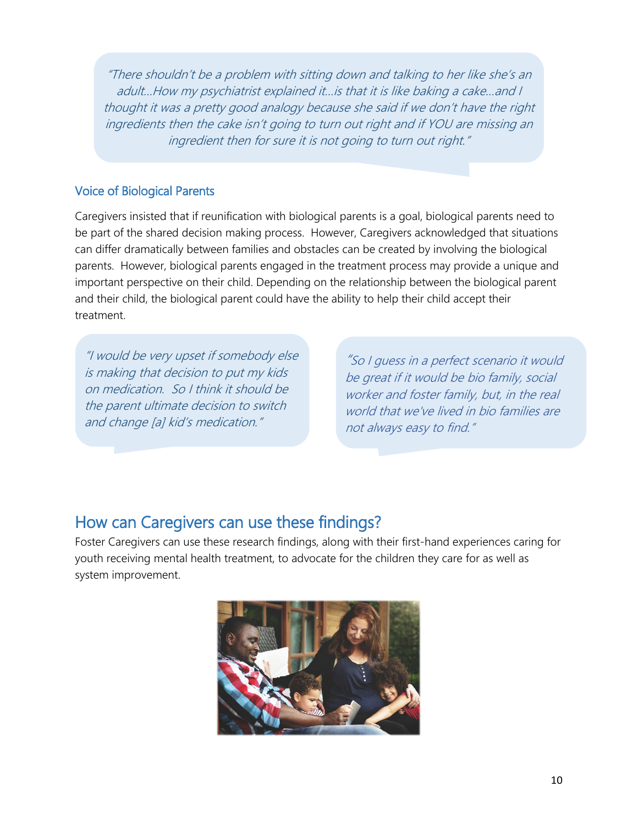"There shouldn't be a problem with sitting down and talking to her like she's an adult…How my psychiatrist explained it…is that it is like baking a cake…and I thought it was a pretty good analogy because she said if we don't have the right ingredients then the cake isn't going to turn out right and if YOU are missing an ingredient then for sure it is not going to turn out right."

#### Voice of Biological Parents

Caregivers insisted that if reunification with biological parents is a goal, biological parents need to be part of the shared decision making process. However, Caregivers acknowledged that situations can differ dramatically between families and obstacles can be created by involving the biological parents. However, biological parents engaged in the treatment process may provide a unique and important perspective on their child. Depending on the relationship between the biological parent and their child, the biological parent could have the ability to help their child accept their treatment.

"I would be very upset if somebody else is making that decision to put my kids on medication. So I think it should be the parent ultimate decision to switch and change [a] kid's medication."

"So I guess in a perfect scenario it would be great if it would be bio family, social worker and foster family, but, in the real world that we've lived in bio families are not always easy to find."

### How can Caregivers can use these findings?

Foster Caregivers can use these research findings, along with their first-hand experiences caring for youth receiving mental health treatment, to advocate for the children they care for as well as system improvement.

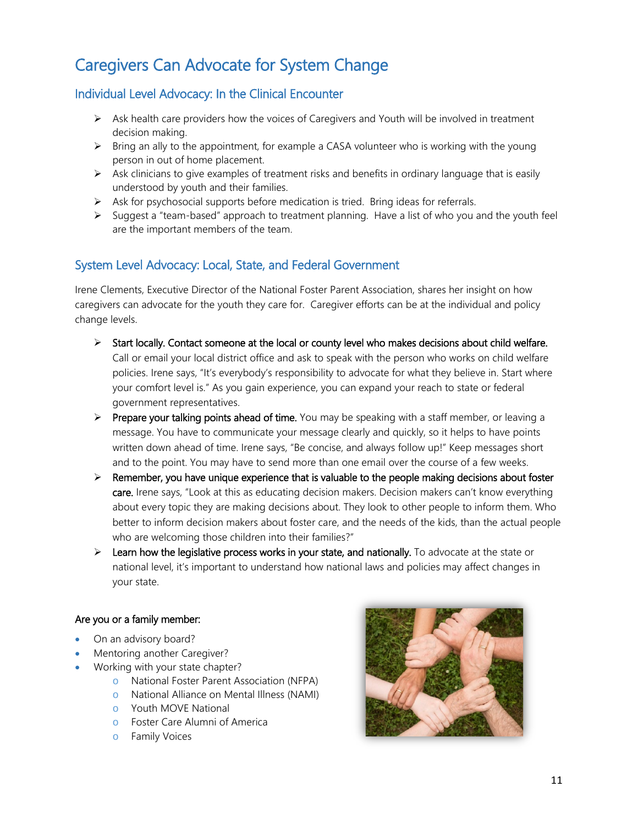## Caregivers Can Advocate for System Change

#### Individual Level Advocacy: In the Clinical Encounter

- $\triangleright$  Ask health care providers how the voices of Caregivers and Youth will be involved in treatment decision making.
- $\triangleright$  Bring an ally to the appointment, for example a CASA volunteer who is working with the young person in out of home placement.
- $\triangleright$  Ask clinicians to give examples of treatment risks and benefits in ordinary language that is easily understood by youth and their families.
- $\triangleright$  Ask for psychosocial supports before medication is tried. Bring ideas for referrals.
- $\triangleright$  Suggest a "team-based" approach to treatment planning. Have a list of who you and the youth feel are the important members of the team.

#### System Level Advocacy: Local, State, and Federal Government

Irene Clements, Executive Director of the National Foster Parent Association, shares her insight on how caregivers can advocate for the youth they care for. Caregiver efforts can be at the individual and policy change levels.

- $\triangleright$  Start locally. Contact someone at the local or county level who makes decisions about child welfare. Call or email your local district office and ask to speak with the person who works on child welfare policies. Irene says, "It's everybody's responsibility to advocate for what they believe in. Start where your comfort level is." As you gain experience, you can expand your reach to state or federal government representatives.
- $\triangleright$  Prepare your talking points ahead of time. You may be speaking with a staff member, or leaving a message. You have to communicate your message clearly and quickly, so it helps to have points written down ahead of time. Irene says, "Be concise, and always follow up!" Keep messages short and to the point. You may have to send more than one email over the course of a few weeks.
- $\triangleright$  Remember, you have unique experience that is valuable to the people making decisions about foster care. Irene says, "Look at this as educating decision makers. Decision makers can't know everything about every topic they are making decisions about. They look to other people to inform them. Who better to inform decision makers about foster care, and the needs of the kids, than the actual people who are welcoming those children into their families?"
- $\triangleright$  Learn how the legislative process works in your state, and nationally. To advocate at the state or national level, it's important to understand how national laws and policies may affect changes in your state.

#### Are you or a family member:

- On an advisory board?
- Mentoring another Caregiver?
- Working with your state chapter?
	- o National Foster Parent Association (NFPA)
	- o National Alliance on Mental Illness (NAMI)
	- o Youth MOVE National
	- o Foster Care Alumni of America
	- o Family Voices

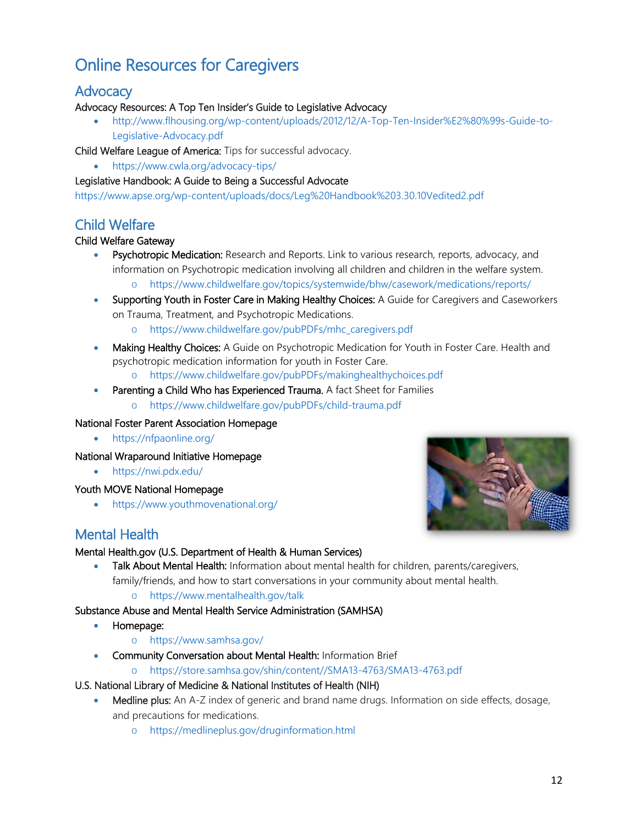## Online Resources for Caregivers

#### **Advocacy**

#### Advocacy Resources: A Top Ten Insider's Guide to Legislative Advocacy

• [http://www.flhousing.org/wp-content/uploads/2012/12/A-Top-Ten-Insider%E2%80%99s-Guide-to-](http://www.flhousing.org/wp-content/uploads/2012/12/A-Top-Ten-Insider%E2%80%99s-Guide-to-Legislative-Advocacy.pdf)[Legislative-Advocacy.pdf](http://www.flhousing.org/wp-content/uploads/2012/12/A-Top-Ten-Insider%E2%80%99s-Guide-to-Legislative-Advocacy.pdf)

Child Welfare League of America: Tips for successful advocacy.

• <https://www.cwla.org/advocacy-tips/>

#### Legislative Handbook: A Guide to Being a Successful Advocate

<https://www.apse.org/wp-content/uploads/docs/Leg%20Handbook%203.30.10Vedited2.pdf>

#### Child Welfare

#### Child Welfare Gateway

- Psychotropic Medication: Research and Reports. Link to various research, reports, advocacy, and information on Psychotropic medication involving all children and children in the welfare system.
	- o <https://www.childwelfare.gov/topics/systemwide/bhw/casework/medications/reports/>
- Supporting Youth in Foster Care in Making Healthy Choices: A Guide for Caregivers and Caseworkers on Trauma, Treatment, and Psychotropic Medications.
	- o [https://www.childwelfare.gov/pubPDFs/mhc\\_caregivers.pdf](https://www.childwelfare.gov/pubPDFs/mhc_caregivers.pdf)
- Making Healthy Choices: A Guide on Psychotropic Medication for Youth in Foster Care. Health and psychotropic medication information for youth in Foster Care.

o <https://www.childwelfare.gov/pubPDFs/makinghealthychoices.pdf>

- Parenting a Child Who has Experienced Trauma. A fact Sheet for Families
	- o <https://www.childwelfare.gov/pubPDFs/child-trauma.pdf>

#### National Foster Parent Association Homepage

• <https://nfpaonline.org/>

#### National Wraparound Initiative Homepage

• <https://nwi.pdx.edu/>

#### Youth MOVE National Homepage

• <https://www.youthmovenational.org/>



#### Mental Health.gov (U.S. Department of Health & Human Services)

- Talk About Mental Health: Information about mental health for children, parents/caregivers, family/friends, and how to start conversations in your community about mental health.
	- o <https://www.mentalhealth.gov/talk>

#### Substance Abuse and Mental Health Service Administration (SAMHSA)

- Homepage:
	- o <https://www.samhsa.gov/>
- Community Conversation about Mental Health: Information Brief
	- o [https://store.samhsa.gov/shin/content//SMA13-4763/SMA13-4763.pdf](https://store.samhsa.gov/shin/content/SMA13-4763/SMA13-4763.pdf)

#### U.S. National Library of Medicine & National Institutes of Health (NIH)

- Medline plus: An A-Z index of generic and brand name drugs. Information on side effects, dosage, and precautions for medications.
	- o <https://medlineplus.gov/druginformation.html>